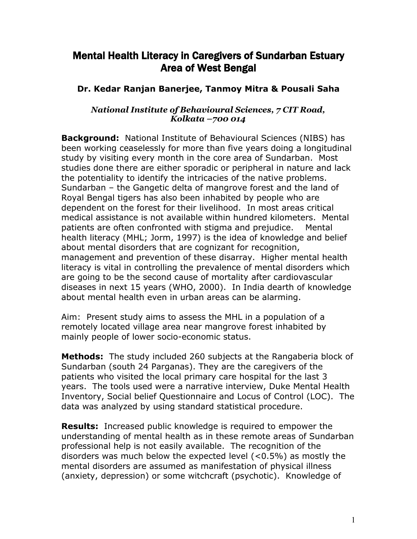## Mental Health Literacy in Caregivers of Sundarban Estuary Area of West Bengal

## **Dr. Kedar Ranjan Banerjee, Tanmoy Mitra & Pousali Saha**

## *National Institute of Behavioural Sciences, 7 CIT Road, Kolkata –700 014*

**Background:** National Institute of Behavioural Sciences (NIBS) has been working ceaselessly for more than five years doing a longitudinal study by visiting every month in the core area of Sundarban. Most studies done there are either sporadic or peripheral in nature and lack the potentiality to identify the intricacies of the native problems. Sundarban – the Gangetic delta of mangrove forest and the land of Royal Bengal tigers has also been inhabited by people who are dependent on the forest for their livelihood. In most areas critical medical assistance is not available within hundred kilometers. Mental patients are often confronted with stigma and prejudice. Mental health literacy (MHL; Jorm, 1997) is the idea of knowledge and belief about mental disorders that are cognizant for recognition, management and prevention of these disarray. Higher mental health literacy is vital in controlling the prevalence of mental disorders which are going to be the second cause of mortality after cardiovascular diseases in next 15 years (WHO, 2000). In India dearth of knowledge about mental health even in urban areas can be alarming.

Aim: Present study aims to assess the MHL in a population of a remotely located village area near mangrove forest inhabited by mainly people of lower socio-economic status.

**Methods:** The study included 260 subjects at the Rangaberia block of Sundarban (south 24 Parganas). They are the caregivers of the patients who visited the local primary care hospital for the last 3 years. The tools used were a narrative interview, Duke Mental Health Inventory, Social belief Questionnaire and Locus of Control (LOC). The data was analyzed by using standard statistical procedure.

**Results:** Increased public knowledge is required to empower the understanding of mental health as in these remote areas of Sundarban professional help is not easily available. The recognition of the disorders was much below the expected level (<0.5%) as mostly the mental disorders are assumed as manifestation of physical illness (anxiety, depression) or some witchcraft (psychotic). Knowledge of